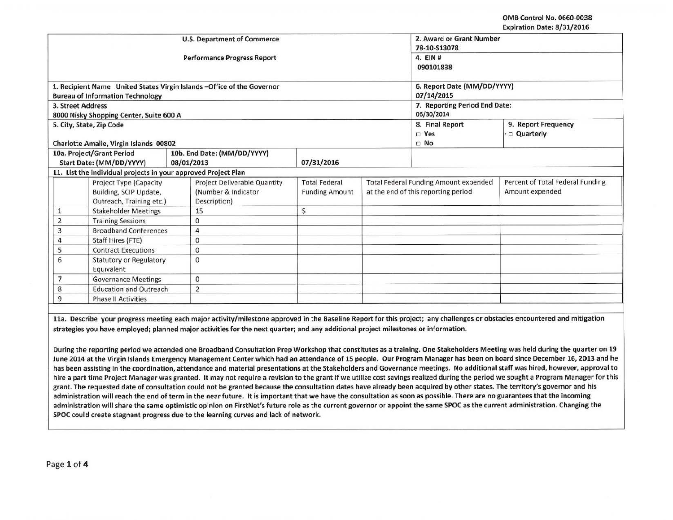OMB Control No. 0660-0038 Expiration Date: 8/31/2016

|                                                                                 |                                            |                                                                              | <b>U.S. Department of Commerce</b><br><b>Performance Progress Report</b>   | 2. Award or Grant Number<br>78-10-S13078<br>4. EIN #<br>090101838 |                                                                                     |                                               |                                                     |  |  |
|---------------------------------------------------------------------------------|--------------------------------------------|------------------------------------------------------------------------------|----------------------------------------------------------------------------|-------------------------------------------------------------------|-------------------------------------------------------------------------------------|-----------------------------------------------|-----------------------------------------------------|--|--|
|                                                                                 |                                            |                                                                              | 1. Recipient Name United States Virgin Islands - Office of the Governor    |                                                                   | 6. Report Date (MM/DD/YYYY)                                                         |                                               |                                                     |  |  |
|                                                                                 |                                            | <b>Bureau of Information Technology</b>                                      |                                                                            |                                                                   | 07/14/2015                                                                          |                                               |                                                     |  |  |
|                                                                                 | 3. Street Address                          | 8000 Nisky Shopping Center, Suite 600 A                                      |                                                                            |                                                                   | 7. Reporting Period End Date:<br>06/30/2014                                         |                                               |                                                     |  |  |
|                                                                                 |                                            | 5. City, State, Zip Code<br>Charlotte Amalie, Virgin Islands 00802           |                                                                            |                                                                   |                                                                                     | 8. Final Report<br>$\square$ Yes<br>$\Box$ No | 9. Report Frequency<br>Quarterly                    |  |  |
|                                                                                 |                                            | 10a. Project/Grant Period                                                    | 10b. End Date: (MM/DD/YYYY)                                                |                                                                   |                                                                                     |                                               |                                                     |  |  |
|                                                                                 |                                            | Start Date: (MM/DD/YYYY)                                                     | 08/01/2013                                                                 | 07/31/2016                                                        |                                                                                     |                                               |                                                     |  |  |
|                                                                                 |                                            |                                                                              | 11. List the individual projects in your approved Project Plan             |                                                                   |                                                                                     |                                               |                                                     |  |  |
|                                                                                 |                                            | Project Type (Capacity<br>Building, SCIP Update,<br>Outreach, Training etc.) | <b>Project Deliverable Quantity</b><br>(Number & Indicator<br>Description) | <b>Total Federal</b><br><b>Funding Amount</b>                     | <b>Total Federal Funding Amount expended</b><br>at the end of this reporting period |                                               | Percent of Total Federal Funding<br>Amount expended |  |  |
|                                                                                 | <b>Stakeholder Meetings</b>                |                                                                              | 15                                                                         | \$                                                                |                                                                                     |                                               |                                                     |  |  |
|                                                                                 | $\overline{2}$<br><b>Training Sessions</b> |                                                                              | $\mathbf{0}$                                                               |                                                                   |                                                                                     |                                               |                                                     |  |  |
|                                                                                 | <b>Broadband Conferences</b><br>3          |                                                                              | 4                                                                          |                                                                   |                                                                                     |                                               |                                                     |  |  |
|                                                                                 | Staff Hires (FTE)<br>4                     |                                                                              | $\mathbf 0$                                                                |                                                                   |                                                                                     |                                               |                                                     |  |  |
|                                                                                 | 5<br><b>Contract Executions</b>            |                                                                              | 0                                                                          |                                                                   |                                                                                     |                                               |                                                     |  |  |
| 6<br><b>Statutory or Regulatory</b><br>Equivalent<br><b>Governance Meetings</b> |                                            |                                                                              | $\Omega$                                                                   |                                                                   |                                                                                     |                                               |                                                     |  |  |
|                                                                                 |                                            |                                                                              | 0                                                                          |                                                                   |                                                                                     |                                               |                                                     |  |  |
| <b>Education and Outreach</b><br>8                                              |                                            |                                                                              | 2                                                                          |                                                                   |                                                                                     |                                               |                                                     |  |  |
| 9<br><b>Phase II Activities</b>                                                 |                                            |                                                                              |                                                                            |                                                                   |                                                                                     |                                               |                                                     |  |  |

lla. Describe your progress meeting each major activity/milestone approved in the Baseline Report for this project; any challenges or obstacles encountered and mitigation strategies you have employed; planned major activities for the next quarter; and any additional project milestones or information.

During the reporting period we attended one Broadband Consultation Prep Workshop that constitutes as a training. One Stakeholders Meeting was held during the quarter on 19 June 2014 at the Virgin Islands Emergency Management Center which had an attendance of 15 people. Our Program Manager has been on board since December 16, 2013 and he has been assisting in the coordination, attendance and material presentations at the Stakeholders and Governance meetings. No additional staff was hired, however, approval to hire a part time Project Manager was granted. It may not require a revision to the grant if we utilize cost savings realized during the period we sought a Program Manager for this grant. The requested date of consultation could not be granted because the consultation dates have already been acquired by other states. The territory's governor and his administration will reach the end of term in the near future. It is important that we have the consultation as soon as possible. There are no guarantees that the incoming administration will share the same optimistic opinion on FirstNet's future role as the current governor or appoint the same SPOC as the current administration. Changing the SPOC could create stagnant progress due to the learning curves and lack of network.

----·-----·---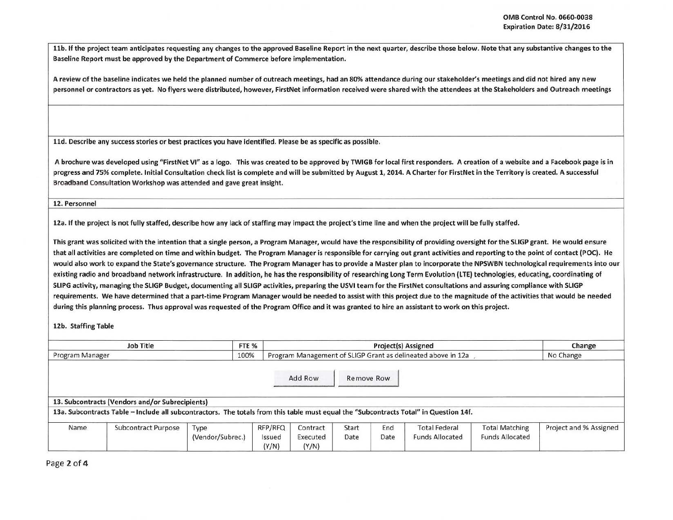llb. If the project team anticipates requesting any changes to the approved Baseline Report in the next quarter, describe those below. Note that any substantive changes to the Baseline Report must be approved by the Department of Commerce before implementation.

A review of the baseline indicates we held the planned number of outreach meetings, had an 80% attendance during our stakeholder's meetings and did not hired any new personnel or contractors as yet. No flyers were distributed, however, FirstNet information received were shared with the attendees at the Stakeholders and Outreach meetings

lld. Describe any success stories or best practices you have identified. Please be as specific as possible.

A brochure was developed using "FirstNet VI" as a logo. This was created to be approved by TWIGB for local first responders. A creation of a website and a Facebook page is in progress and 75% complete. Initial Consultation check list is complete and will be submitted by August 1, 2014. A Charter for FirstNet in the Territory is created. A successful Broadband Consultation Workshop was attended and gave great insight.

12. Personnel

12a. If the project is not fully staffed, describe how any lack of staffing may impact the project's time line and when the project will be fully staffed.

This grant was solicited with the intention that a single person, a Program Manager, would have the responsibility of providing oversight for the SLIGP grant. He would ensure that all activities are completed on time and within budget. The Program Manager is responsible for carrying out grant activities and reporting to the point of contact (POC). He would also work to expand the State's governance structure. The Program Manager has to provide a Master plan to incorporate the NPSWBN technological requirements into our existing radio and broadband network infrastructure. In addition, he has the responsibility of researching Long Term Evolution (LTE) technologies, educating, coordinating of SLIPG activity, managing the SLIGP Budget, documenting all SLIGP activities, preparing the USVI team for the FirstNet consultations and assuring compliance with SLIGP requirements. We have determined that a part-time Program Manager would be needed to assist with this project due to the magnitude of the activities that would be needed during this planning process. Thus approval was requested of the Program Office and it was granted to hire an assistant to work on this project.

12b. Staffing Table

| <b>Job Title</b><br>FTE <sub>%</sub> |                                                                                                                                       |                          |                                                              |                               |               | Change      |                                                |                                                 |                        |
|--------------------------------------|---------------------------------------------------------------------------------------------------------------------------------------|--------------------------|--------------------------------------------------------------|-------------------------------|---------------|-------------|------------------------------------------------|-------------------------------------------------|------------------------|
| Program Manager                      | 100%                                                                                                                                  |                          | Program Management of SLIGP Grant as delineated above in 12a | No Change                     |               |             |                                                |                                                 |                        |
|                                      |                                                                                                                                       |                          |                                                              | Add Row                       | Remove Row    |             |                                                |                                                 |                        |
|                                      | 13. Subcontracts (Vendors and/or Subrecipients)                                                                                       |                          |                                                              |                               |               |             |                                                |                                                 |                        |
|                                      | 13a. Subcontracts Table – Include all subcontractors. The totals from this table must equal the "Subcontracts Total" in Question 14f. |                          |                                                              |                               |               |             |                                                |                                                 |                        |
| Name                                 | <b>Subcontract Purpose</b>                                                                                                            | Type<br>(Vendor/Subrec.) | RFP/RFQ<br>Issued<br>(Y/N)                                   | Contract<br>Executed<br>(Y/N) | Start<br>Date | End<br>Date | <b>Total Federal</b><br><b>Funds Allocated</b> | <b>Total Matching</b><br><b>Funds Allocated</b> | Project and % Assigned |

Page 2 of 4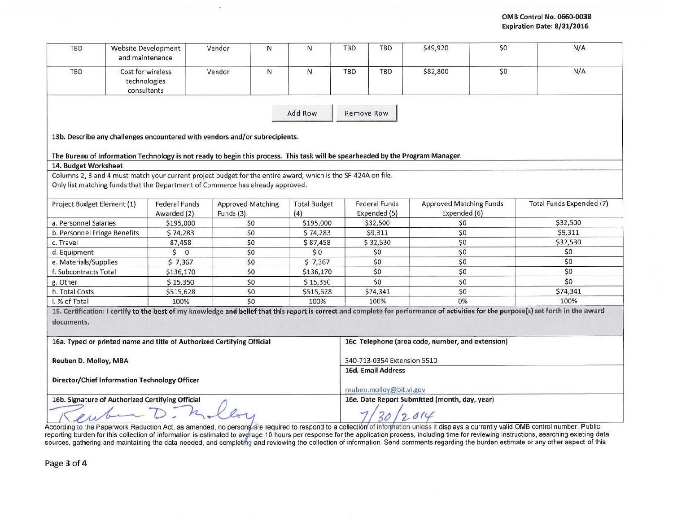| TBD                                              | <b>Website Development</b><br>and maintenance                                                                                  | Vendor                                            | N                        | N                          | <b>TBD</b>               | <b>TBD</b>                                    | \$49,920                                          | \$0 | N/A                                                                                                                                                                                     |  |  |
|--------------------------------------------------|--------------------------------------------------------------------------------------------------------------------------------|---------------------------------------------------|--------------------------|----------------------------|--------------------------|-----------------------------------------------|---------------------------------------------------|-----|-----------------------------------------------------------------------------------------------------------------------------------------------------------------------------------------|--|--|
| TBD                                              | Cost for wireless<br>technologies<br>consultants                                                                               | Vendor                                            | $\mathsf{N}$             | N                          | <b>TBD</b>               | <b>TBD</b>                                    | \$82,800                                          | \$0 | N/A                                                                                                                                                                                     |  |  |
|                                                  |                                                                                                                                |                                                   |                          | Add Row                    | <b>Remove Row</b>        |                                               |                                                   |     |                                                                                                                                                                                         |  |  |
|                                                  | 13b. Describe any challenges encountered with vendors and/or subrecipients.                                                    |                                                   |                          |                            |                          |                                               |                                                   |     |                                                                                                                                                                                         |  |  |
|                                                  | The Bureau of Information Technology is not ready to begin this process. This task will be spearheaded by the Program Manager. |                                                   |                          |                            |                          |                                               |                                                   |     |                                                                                                                                                                                         |  |  |
| 14. Budget Worksheet                             |                                                                                                                                |                                                   |                          |                            |                          |                                               |                                                   |     |                                                                                                                                                                                         |  |  |
|                                                  | Columns 2, 3 and 4 must match your current project budget for the entire award, which is the SF-424A on file.                  |                                                   |                          |                            |                          |                                               |                                                   |     |                                                                                                                                                                                         |  |  |
|                                                  | Only list matching funds that the Department of Commerce has already approved.                                                 |                                                   |                          |                            |                          |                                               |                                                   |     |                                                                                                                                                                                         |  |  |
| Project Budget Element (1)                       | <b>Federal Funds</b><br>Awarded (2)                                                                                            | Funds (3)                                         | <b>Approved Matching</b> | <b>Total Budget</b><br>(4) |                          | <b>Federal Funds</b><br>Expended (5)          | <b>Approved Matching Funds</b><br>Expended (6)    |     | <b>Total Funds Expended (7)</b>                                                                                                                                                         |  |  |
| a. Personnel Salaries                            | \$195,000                                                                                                                      |                                                   | \$0                      | \$195,000                  |                          | \$32,500                                      | \$0                                               |     | \$32,500                                                                                                                                                                                |  |  |
| b. Personnel Fringe Benefits                     | \$74,283                                                                                                                       |                                                   | \$0                      | \$74,283                   |                          | \$9,311                                       | \$0                                               |     | \$9,311                                                                                                                                                                                 |  |  |
| c. Travel                                        | 87,458                                                                                                                         |                                                   | \$0                      | \$87,458                   |                          | \$32,530                                      | \$0                                               |     | \$32,530                                                                                                                                                                                |  |  |
| d. Equipment                                     | 50                                                                                                                             |                                                   | \$0                      | \$0                        |                          | \$0                                           | \$0                                               |     | \$0                                                                                                                                                                                     |  |  |
| e. Materials/Supplies                            | \$7,367                                                                                                                        |                                                   | \$0                      | \$7,367                    |                          | \$0                                           | \$0                                               |     | \$0                                                                                                                                                                                     |  |  |
| f. Subcontracts Total                            | \$136,170                                                                                                                      |                                                   | \$0                      | \$136,170                  |                          | \$0                                           | \$0                                               |     | \$0                                                                                                                                                                                     |  |  |
| g. Other                                         | \$15,350                                                                                                                       |                                                   | \$0                      | \$15,350                   |                          | \$0                                           | \$0                                               |     | \$0                                                                                                                                                                                     |  |  |
| h. Total Costs                                   | \$515,628                                                                                                                      |                                                   | \$0                      | \$515,628                  |                          | \$74,341                                      | \$0                                               |     | \$74,341                                                                                                                                                                                |  |  |
| i. % of Total                                    | 100%                                                                                                                           |                                                   | \$0                      | 100%                       |                          | 100%                                          | 0%                                                |     | 100%                                                                                                                                                                                    |  |  |
| documents.                                       |                                                                                                                                |                                                   |                          |                            |                          |                                               |                                                   |     | 15. Certification: I certify to the best of my knowledge and belief that this report is correct and complete for performance of activities for the purpose(s) set forth in the award    |  |  |
|                                                  | 16a. Typed or printed name and title of Authorized Certifying Official                                                         |                                                   |                          |                            |                          |                                               | 16c. Telephone (area code, number, and extension) |     |                                                                                                                                                                                         |  |  |
| Reuben D. Molloy, MBA                            |                                                                                                                                | 340-713-0354 Extension 5510<br>16d. Email Address |                          |                            |                          |                                               |                                                   |     |                                                                                                                                                                                         |  |  |
|                                                  | Director/Chief Information Technology Officer                                                                                  |                                                   |                          |                            | reuben.molloy@bit.vi.gov |                                               |                                                   |     |                                                                                                                                                                                         |  |  |
| 16b. Signature of Authorized Certifying Official |                                                                                                                                |                                                   |                          |                            |                          | 16e. Date Report Submitted (month, day, year) |                                                   |     |                                                                                                                                                                                         |  |  |
|                                                  |                                                                                                                                |                                                   |                          |                            |                          |                                               |                                                   |     | According to the Paperwork Reduction Act, as amended, no persons are required to respond to a collection of information unless it displays a currently valid OMB control number. Public |  |  |

9

Page 3 of 4